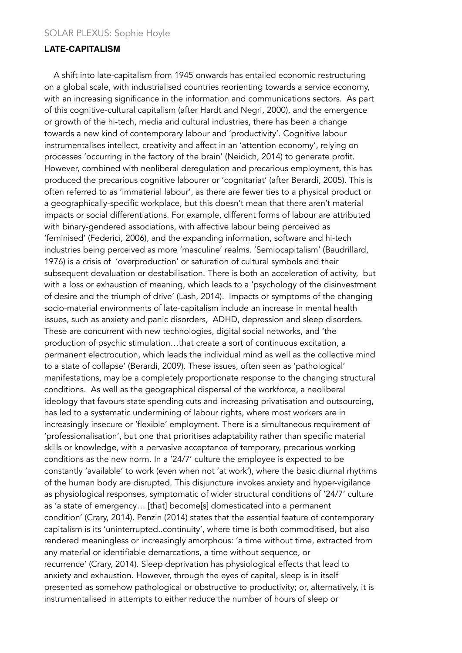### **LATE-CAPITALISM**

 A shift into late-capitalism from 1945 onwards has entailed economic restructuring on a global scale, with industrialised countries reorienting towards a service economy, with an increasing significance in the information and communications sectors. As part of this cognitive-cultural capitalism (after Hardt and Negri, 2000), and the emergence or growth of the hi-tech, media and cultural industries, there has been a change towards a new kind of contemporary labour and 'productivity'. Cognitive labour instrumentalises intellect, creativity and affect in an 'attention economy', relying on processes 'occurring in the factory of the brain' (Neidich, 2014) to generate profit. However, combined with neoliberal deregulation and precarious employment, this has produced the precarious cognitive labourer or 'cognitariat' (after Berardi, 2005). This is often referred to as 'immaterial labour', as there are fewer ties to a physical product or a geographically-specific workplace, but this doesn't mean that there aren't material impacts or social differentiations. For example, different forms of labour are attributed with binary-gendered associations, with affective labour being perceived as 'feminised' (Federici, 2006), and the expanding information, software and hi-tech industries being perceived as more 'masculine' realms. 'Semiocapitalism' (Baudrillard, 1976) is a crisis of 'overproduction' or saturation of cultural symbols and their subsequent devaluation or destabilisation. There is both an acceleration of activity, but with a loss or exhaustion of meaning, which leads to a 'psychology of the disinvestment of desire and the triumph of drive' (Lash, 2014). Impacts or symptoms of the changing socio-material environments of late-capitalism include an increase in mental health issues, such as anxiety and panic disorders, ADHD, depression and sleep disorders. These are concurrent with new technologies, digital social networks, and 'the production of psychic stimulation…that create a sort of continuous excitation, a permanent electrocution, which leads the individual mind as well as the collective mind to a state of collapse' (Berardi, 2009). These issues, often seen as 'pathological' manifestations, may be a completely proportionate response to the changing structural conditions. As well as the geographical dispersal of the workforce, a neoliberal ideology that favours state spending cuts and increasing privatisation and outsourcing, has led to a systematic undermining of labour rights, where most workers are in increasingly insecure or 'flexible' employment. There is a simultaneous requirement of 'professionalisation', but one that prioritises adaptability rather than specific material skills or knowledge, with a pervasive acceptance of temporary, precarious working conditions as the new norm. In a '24/7' culture the employee is expected to be constantly 'available' to work (even when not 'at work'), where the basic diurnal rhythms of the human body are disrupted. This disjuncture invokes anxiety and hyper-vigilance as physiological responses, symptomatic of wider structural conditions of '24/7' culture as 'a state of emergency… [that] become[s] domesticated into a permanent condition' (Crary, 2014). Penzin (2014) states that the essential feature of contemporary capitalism is its 'uninterrupted..continuity', where time is both commoditised, but also rendered meaningless or increasingly amorphous: 'a time without time, extracted from any material or identifiable demarcations, a time without sequence, or recurrence' (Crary, 2014). Sleep deprivation has physiological effects that lead to anxiety and exhaustion. However, through the eyes of capital, sleep is in itself presented as somehow pathological or obstructive to productivity; or, alternatively, it is instrumentalised in attempts to either reduce the number of hours of sleep or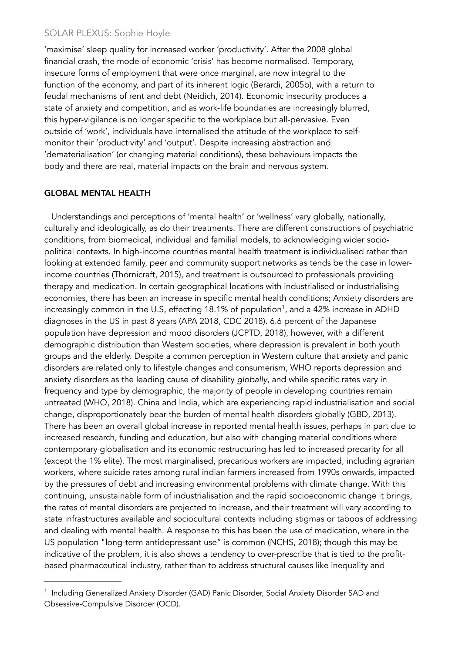'maximise' sleep quality for increased worker 'productivity'. After the 2008 global financial crash, the mode of economic 'crisis' has become normalised. Temporary, insecure forms of employment that were once marginal, are now integral to the function of the economy, and part of its inherent logic (Berardi, 2005b), with a return to feudal mechanisms of rent and debt (Neidich, 2014). Economic insecurity produces a state of anxiety and competition, and as work-life boundaries are increasingly blurred, this hyper-vigilance is no longer specific to the workplace but all-pervasive. Even outside of 'work', individuals have internalised the attitude of the workplace to selfmonitor their 'productivity' and 'output'. Despite increasing abstraction and 'dematerialisation' (or changing material conditions), these behaviours impacts the body and there are real, material impacts on the brain and nervous system.

#### GLOBAL MENTAL HEALTH

<span id="page-1-1"></span> Understandings and perceptions of 'mental health' or 'wellness' vary globally, nationally, culturally and ideologically, as do their treatments. There are different constructions of psychiatric conditions, from biomedical, individual and familial models, to acknowledging wider sociopolitical contexts. In high-income countries mental health treatment is individualised rather than looking at extended family, peer and community support networks as tends be the case in lowerincome countries (Thornicraft, 2015), and treatment is outsourced to professionals providing therapy and medication. In certain geographical locations with industrialised or industrialising economies, there has been an increase in specific mental health conditions; Anxiety disorders are increasingly common in the U.S, effecting [1](#page-1-0)8.1% of population<sup>1</sup>, and a 42% increase in ADHD diagnoses in the US in past 8 years (APA 2018, CDC 2018). 6.6 percent of the Japanese population have depression and mood disorders (JCPTD, 2018), however, with a different demographic distribution than Western societies, where depression is prevalent in both youth groups and the elderly. Despite a common perception in Western culture that anxiety and panic disorders are related only to lifestyle changes and consumerism, WHO reports depression and anxiety disorders as the leading cause of disability *globally*, and while specific rates vary in frequency and type by demographic, the majority of people in developing countries remain untreated (WHO, 2018). China and India, which are experiencing rapid industrialisation and social change, disproportionately bear the burden of mental health disorders globally (GBD, 2013). There has been an overall global increase in reported mental health issues, perhaps in part due to increased research, funding and education, but also with changing material conditions where contemporary globalisation and its economic restructuring has led to increased precarity for all (except the 1% elite). The most marginalised, precarious workers are impacted, including agrarian workers, where suicide rates among rural indian farmers increased from 1990s onwards, impacted by the pressures of debt and increasing environmental problems with climate change. With this continuing, unsustainable form of industrialisation and the rapid socioeconomic change it brings, the rates of mental disorders are projected to increase, and their treatment will vary according to state infrastructures available and sociocultural contexts including stigmas or taboos of addressing and dealing with mental health. A response to this has been the use of medication, where in the US population "long-term antidepressant use" is common (NCHS, 2018); though this may be indicative of the problem, it is also shows a tendency to over-prescribe that is tied to the profitbased pharmaceutical industry, rather than to address structural causes like inequality and

<span id="page-1-0"></span><sup>&</sup>lt;sup>[1](#page-1-1)</sup> Including Generalized Anxiety Disorder (GAD) Panic Disorder, Social Anxiety Disorder SAD and Obsessive-Compulsive Disorder (OCD).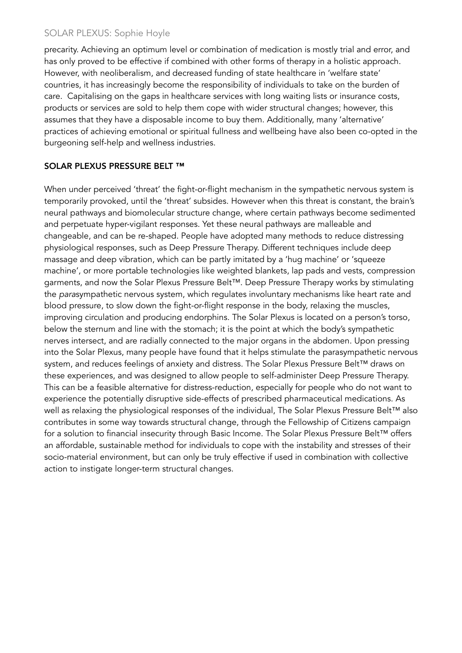precarity. Achieving an optimum level or combination of medication is mostly trial and error, and has only proved to be effective if combined with other forms of therapy in a holistic approach. However, with neoliberalism, and decreased funding of state healthcare in 'welfare state' countries, it has increasingly become the responsibility of individuals to take on the burden of care. Capitalising on the gaps in healthcare services with long waiting lists or insurance costs, products or services are sold to help them cope with wider structural changes; however, this assumes that they have a disposable income to buy them. Additionally, many 'alternative' practices of achieving emotional or spiritual fullness and wellbeing have also been co-opted in the burgeoning self-help and wellness industries.

## SOLAR PLEXUS PRESSURE BELT ™

When under perceived 'threat' the fight-or-flight mechanism in the sympathetic nervous system is temporarily provoked, until the 'threat' subsides. However when this threat is constant, the brain's neural pathways and biomolecular structure change, where certain pathways become sedimented and perpetuate hyper-vigilant responses. Yet these neural pathways are malleable and changeable, and can be re-shaped. People have adopted many methods to reduce distressing physiological responses, such as Deep Pressure Therapy. Different techniques include deep massage and deep vibration, which can be partly imitated by a 'hug machine' or 'squeeze machine', or more portable technologies like weighted blankets, lap pads and vests, compression garments, and now the Solar Plexus Pressure Belt™. Deep Pressure Therapy works by stimulating the *para*sympathetic nervous system, which regulates involuntary mechanisms like heart rate and blood pressure, to slow down the fight-or-flight response in the body, relaxing the muscles, improving circulation and producing endorphins. The Solar Plexus is located on a person's torso, below the sternum and line with the stomach; it is the point at which the body's sympathetic nerves intersect, and are radially connected to the major organs in the abdomen. Upon pressing into the Solar Plexus, many people have found that it helps stimulate the parasympathetic nervous system, and reduces feelings of anxiety and distress. The Solar Plexus Pressure Belt™ draws on these experiences, and was designed to allow people to self-administer Deep Pressure Therapy. This can be a feasible alternative for distress-reduction, especially for people who do not want to experience the potentially disruptive side-effects of prescribed pharmaceutical medications. As well as relaxing the physiological responses of the individual, The Solar Plexus Pressure Belt™ also contributes in some way towards structural change, through the Fellowship of Citizens campaign for a solution to financial insecurity through Basic Income. The Solar Plexus Pressure Belt™ offers an affordable, sustainable method for individuals to cope with the instability and stresses of their socio-material environment, but can only be truly effective if used in combination with collective action to instigate longer-term structural changes.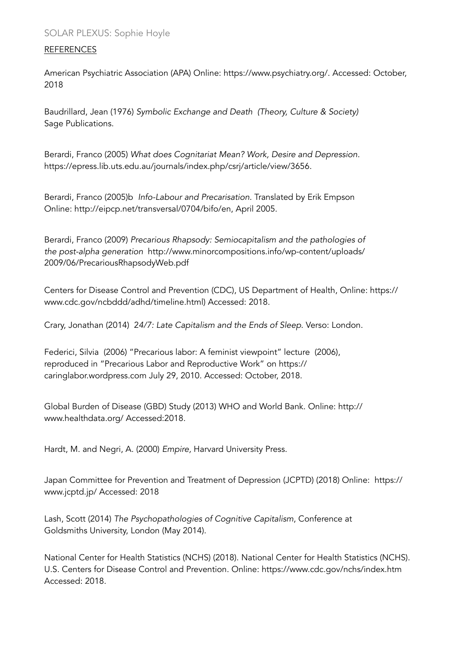#### REFERENCES

American Psychiatric Association (APA) Online:<https://www.psychiatry.org/>. Accessed: October, 2018

Baudrillard, Jean (1976) *Symbolic Exchange and Death (Theory, Culture & Society)*  Sage Publications.

Berardi, Franco (2005) *What does Cognitariat Mean? Work, Desire and Depression.*  [https://epress.lib.uts.edu.au/journals/index.php/csrj/article/view/3656.](https://epress.lib.uts.edu.au/journals/index.php/csrj/article/view/3656)

Berardi, Franco (2005)b *Info-Labour and Precarisation.* Translated by Erik Empson Online: <http://eipcp.net/transversal/0704/bifo/en>, April 2005.

Berardi, Franco (2009) *Precarious Rhapsody: Semiocapitalism and the pathologies of the post-alpha generation* [http://www.minorcompositions.info/wp-content/uploads/](http://www.minorcompositions.info/wp-content/uploads/2009/06/PrecariousRhapsodyWeb.pdf) 2009/06/PrecariousRhapsodyWeb.pdf

[Centers for Disease Control and Prevention \(CDC\), US Department of Health, Online: https://](https://www.cdc.gov/ncbddd/adhd/timeline.html) www.cdc.gov/ncbddd/adhd/timeline.html) Accessed: 2018.

Crary, Jonathan (2014) 2*4/7: Late Capitalism and the Ends of Sleep*. Verso: London.

Federici, Silvia (2006) "Precarious labor: A feminist viewpoint" lecture (2006), [reproduced in "Precarious Labor and Reproductive Work" on https://](https://caringlabor.wordpress.com) caringlabor.wordpress.com July 29, 2010. Accessed: October, 2018.

[Global Burden of Disease \(GBD\) Study \(2013\) WHO and World Bank. Online: http://](http://www.healthdata.org/) www.healthdata.org/ Accessed:2018.

Hardt, M. and Negri, A. (2000) *Empire,* Harvard University Press.

[Japan Committee for Prevention and Treatment of Depression \(JCPTD\) \(2018\) Online: https://](https://www.jcptd.jp/) www.jcptd.jp/ Accessed: 2018

Lash, Scott (2014) *The Psychopathologies of Cognitive Capitalism*, Conference at Goldsmiths University, London (May 2014).

National Center for Health Statistics (NCHS) (2018). National Center for Health Statistics (NCHS). U.S. Centers for Disease Control and Prevention. Online:<https://www.cdc.gov/nchs/index.htm> Accessed: 2018.